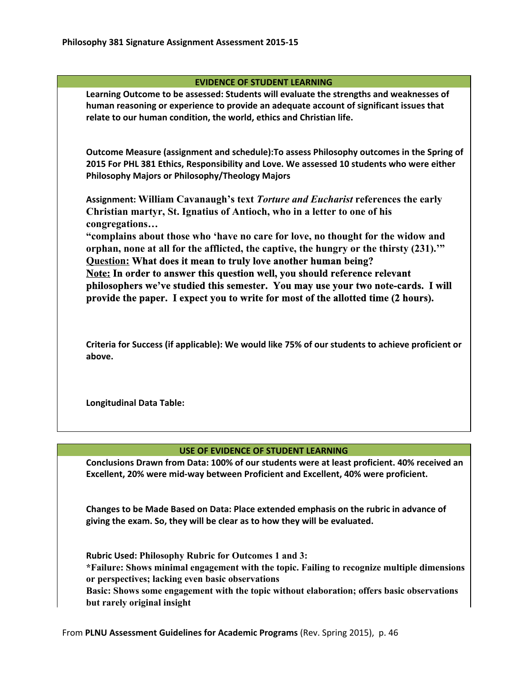## **EVIDENCE OF STUDENT LEARNING**

**Learning Outcome to be assessed: Students will evaluate the strengths and weaknesses of human reasoning or experience to provide an adequate account of significant issues that relate to our human condition, the world, ethics and Christian life.**

**Outcome Measure (assignment and schedule):To assess Philosophy outcomes in the Spring of 2015 For PHL 381 Ethics, Responsibility and Love. We assessed 10 students who were either Philosophy Majors or Philosophy/Theology Majors**

**Assignment: William Cavanaugh's text** *Torture and Eucharist***references the early Christian martyr, St. Ignatius of Antioch, who in a letter to one of his congregations…**

**"complains about those who 'have no care for love, no thought for the widow and orphan, none at all for the afflicted, the captive, the hungry or the thirsty (231).'" Question:What does it mean to truly love another human being? Note:In order to answer this question well, you should reference relevant philosophers we've studied this semester. You may use your two notecards. I will provide the paper. I expect you to write for most of the allotted time (2 hours).**

**Criteria for Success (if applicable): We would like 75% of our students to achieve proficient or above.**

**Longitudinal Data Table:**

## **USE OF EVIDENCE OF STUDENT LEARNING**

**Conclusions Drawn from Data: 100% of our students were at least proficient. 40% received an Excellent, 20% were mid-way between Proficient and Excellent, 40% were proficient.**

**Changes to be Made Based on Data: Place extended emphasis on the rubric in advance of giving the exam. So, they will be clear as to how they will be evaluated.**

**Rubric Used: Philosophy Rubric for Outcomes 1 and 3: \*Failure: Shows minimal engagement with the topic. Failing to recognize multiple dimensions or perspectives; lacking even basic observations Basic: Shows some engagement with the topic without elaboration; offers basic observations but rarely original insight**

From **PLNU Assessment Guidelines for Academic Programs**(Rev. Spring 2015), p. 46